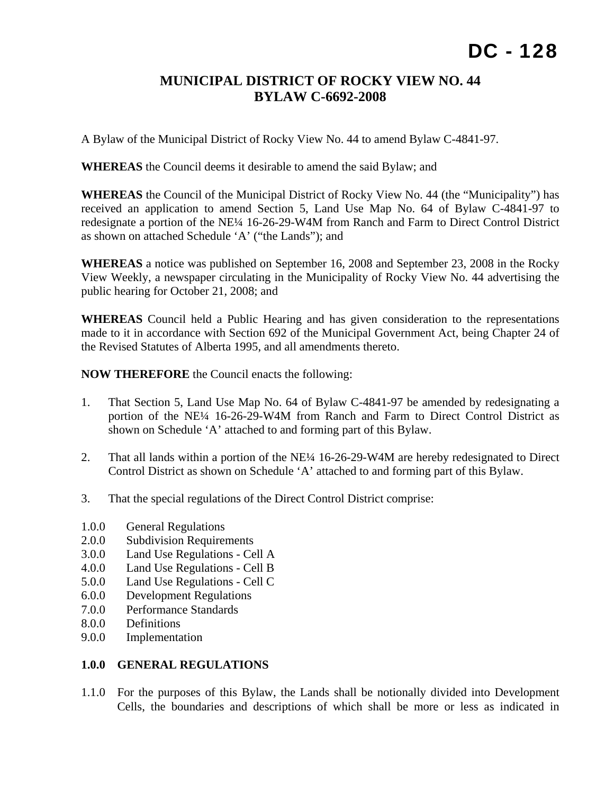## **MUNICIPAL DISTRICT OF ROCKY VIEW NO. 44 BYLAW C-6692-2008**

A Bylaw of the Municipal District of Rocky View No. 44 to amend Bylaw C-4841-97.

**WHEREAS** the Council deems it desirable to amend the said Bylaw; and

**WHEREAS** the Council of the Municipal District of Rocky View No. 44 (the "Municipality") has received an application to amend Section 5, Land Use Map No. 64 of Bylaw C-4841-97 to redesignate a portion of the NE¼ 16-26-29-W4M from Ranch and Farm to Direct Control District as shown on attached Schedule 'A' ("the Lands"); and

**WHEREAS** a notice was published on September 16, 2008 and September 23, 2008 in the Rocky View Weekly, a newspaper circulating in the Municipality of Rocky View No. 44 advertising the public hearing for October 21, 2008; and

**WHEREAS** Council held a Public Hearing and has given consideration to the representations made to it in accordance with Section 692 of the Municipal Government Act, being Chapter 24 of the Revised Statutes of Alberta 1995, and all amendments thereto.

**NOW THEREFORE** the Council enacts the following:

- 1. That Section 5, Land Use Map No. 64 of Bylaw C-4841-97 be amended by redesignating a portion of the NE¼ 16-26-29-W4M from Ranch and Farm to Direct Control District as shown on Schedule 'A' attached to and forming part of this Bylaw.
- 2. That all lands within a portion of the NE<sup> $1/4$ </sup> 16-26-29-W4M are hereby redesignated to Direct Control District as shown on Schedule 'A' attached to and forming part of this Bylaw.
- 3. That the special regulations of the Direct Control District comprise:
- 1.0.0 General Regulations
- 2.0.0 Subdivision Requirements
- 3.0.0 Land Use Regulations Cell A
- 4.0.0 Land Use Regulations Cell B
- 5.0.0 Land Use Regulations Cell C
- 6.0.0 Development Regulations
- 7.0.0 Performance Standards
- 8.0.0 Definitions
- 9.0.0 Implementation

#### **1.0.0 GENERAL REGULATIONS**

1.1.0 For the purposes of this Bylaw, the Lands shall be notionally divided into Development Cells, the boundaries and descriptions of which shall be more or less as indicated in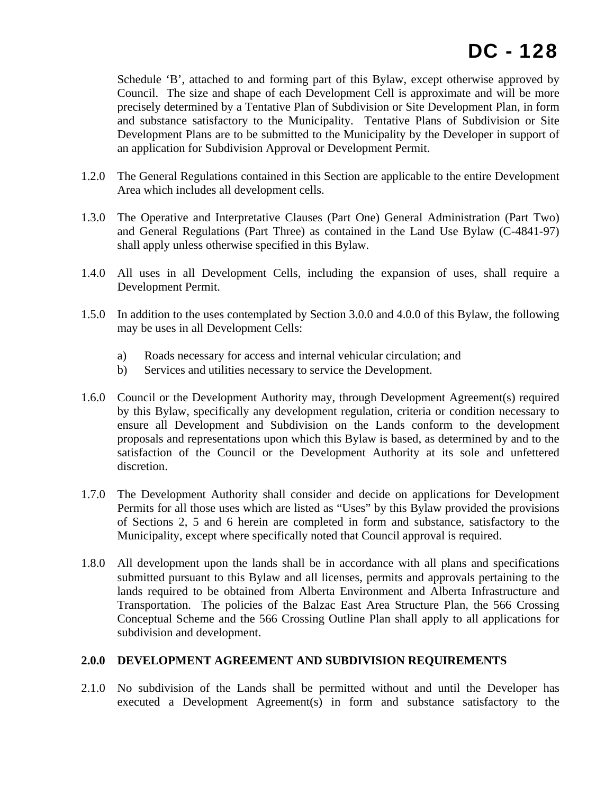Schedule 'B', attached to and forming part of this Bylaw, except otherwise approved by Council. The size and shape of each Development Cell is approximate and will be more precisely determined by a Tentative Plan of Subdivision or Site Development Plan, in form and substance satisfactory to the Municipality. Tentative Plans of Subdivision or Site Development Plans are to be submitted to the Municipality by the Developer in support of an application for Subdivision Approval or Development Permit.

- 1.2.0 The General Regulations contained in this Section are applicable to the entire Development Area which includes all development cells.
- 1.3.0 The Operative and Interpretative Clauses (Part One) General Administration (Part Two) and General Regulations (Part Three) as contained in the Land Use Bylaw (C-4841-97) shall apply unless otherwise specified in this Bylaw.
- 1.4.0 All uses in all Development Cells, including the expansion of uses, shall require a Development Permit.
- 1.5.0 In addition to the uses contemplated by Section 3.0.0 and 4.0.0 of this Bylaw, the following may be uses in all Development Cells:
	- a) Roads necessary for access and internal vehicular circulation; and
	- b) Services and utilities necessary to service the Development.
- 1.6.0 Council or the Development Authority may, through Development Agreement(s) required by this Bylaw, specifically any development regulation, criteria or condition necessary to ensure all Development and Subdivision on the Lands conform to the development proposals and representations upon which this Bylaw is based, as determined by and to the satisfaction of the Council or the Development Authority at its sole and unfettered discretion.
- 1.7.0 The Development Authority shall consider and decide on applications for Development Permits for all those uses which are listed as "Uses" by this Bylaw provided the provisions of Sections 2, 5 and 6 herein are completed in form and substance, satisfactory to the Municipality, except where specifically noted that Council approval is required.
- 1.8.0 All development upon the lands shall be in accordance with all plans and specifications submitted pursuant to this Bylaw and all licenses, permits and approvals pertaining to the lands required to be obtained from Alberta Environment and Alberta Infrastructure and Transportation. The policies of the Balzac East Area Structure Plan, the 566 Crossing Conceptual Scheme and the 566 Crossing Outline Plan shall apply to all applications for subdivision and development.

#### **2.0.0 DEVELOPMENT AGREEMENT AND SUBDIVISION REQUIREMENTS**

2.1.0 No subdivision of the Lands shall be permitted without and until the Developer has executed a Development Agreement(s) in form and substance satisfactory to the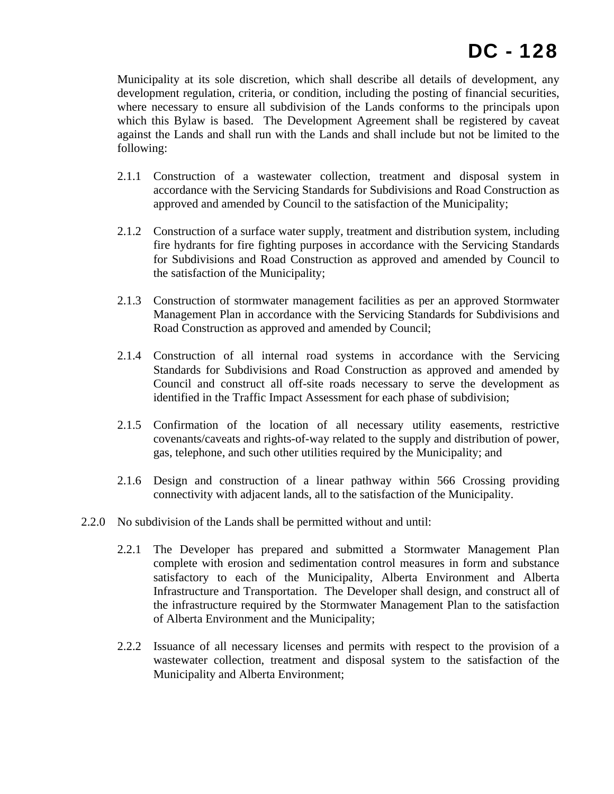Municipality at its sole discretion, which shall describe all details of development, any development regulation, criteria, or condition, including the posting of financial securities, where necessary to ensure all subdivision of the Lands conforms to the principals upon which this Bylaw is based. The Development Agreement shall be registered by caveat against the Lands and shall run with the Lands and shall include but not be limited to the following:

- 2.1.1 Construction of a wastewater collection, treatment and disposal system in accordance with the Servicing Standards for Subdivisions and Road Construction as approved and amended by Council to the satisfaction of the Municipality;
- 2.1.2 Construction of a surface water supply, treatment and distribution system, including fire hydrants for fire fighting purposes in accordance with the Servicing Standards for Subdivisions and Road Construction as approved and amended by Council to the satisfaction of the Municipality;
- 2.1.3 Construction of stormwater management facilities as per an approved Stormwater Management Plan in accordance with the Servicing Standards for Subdivisions and Road Construction as approved and amended by Council;
- 2.1.4 Construction of all internal road systems in accordance with the Servicing Standards for Subdivisions and Road Construction as approved and amended by Council and construct all off-site roads necessary to serve the development as identified in the Traffic Impact Assessment for each phase of subdivision;
- 2.1.5 Confirmation of the location of all necessary utility easements, restrictive covenants/caveats and rights-of-way related to the supply and distribution of power, gas, telephone, and such other utilities required by the Municipality; and
- 2.1.6 Design and construction of a linear pathway within 566 Crossing providing connectivity with adjacent lands, all to the satisfaction of the Municipality.
- 2.2.0 No subdivision of the Lands shall be permitted without and until:
	- 2.2.1 The Developer has prepared and submitted a Stormwater Management Plan complete with erosion and sedimentation control measures in form and substance satisfactory to each of the Municipality, Alberta Environment and Alberta Infrastructure and Transportation. The Developer shall design, and construct all of the infrastructure required by the Stormwater Management Plan to the satisfaction of Alberta Environment and the Municipality;
	- 2.2.2 Issuance of all necessary licenses and permits with respect to the provision of a wastewater collection, treatment and disposal system to the satisfaction of the Municipality and Alberta Environment;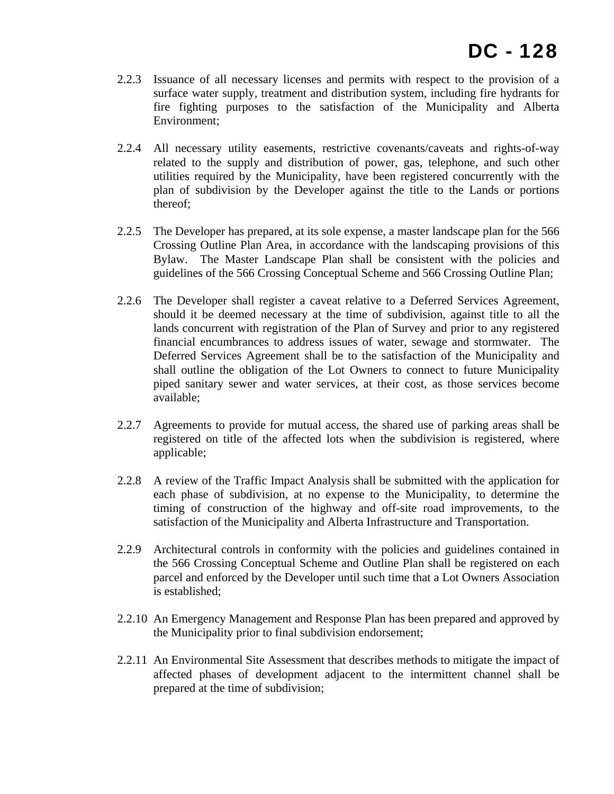- 2.2.3 Issuance of all necessary licenses and permits with respect to the provision of a surface water supply, treatment and distribution system, including fire hydrants for fire fighting purposes to the satisfaction of the Municipality and Alberta Environment;
- 2.2.4 All necessary utility easements, restrictive covenants/caveats and rights-of-way related to the supply and distribution of power, gas, telephone, and such other utilities required by the Municipality, have been registered concurrently with the plan of subdivision by the Developer against the title to the Lands or portions thereof;
- 2.2.5 The Developer has prepared, at its sole expense, a master landscape plan for the 566 Crossing Outline Plan Area, in accordance with the landscaping provisions of this Bylaw. The Master Landscape Plan shall be consistent with the policies and guidelines of the 566 Crossing Conceptual Scheme and 566 Crossing Outline Plan;
- 2.2.6 The Developer shall register a caveat relative to a Deferred Services Agreement, should it be deemed necessary at the time of subdivision, against title to all the lands concurrent with registration of the Plan of Survey and prior to any registered financial encumbrances to address issues of water, sewage and stormwater. The Deferred Services Agreement shall be to the satisfaction of the Municipality and shall outline the obligation of the Lot Owners to connect to future Municipality piped sanitary sewer and water services, at their cost, as those services become available;
- 2.2.7 Agreements to provide for mutual access, the shared use of parking areas shall be registered on title of the affected lots when the subdivision is registered, where applicable;
- 2.2.8 A review of the Traffic Impact Analysis shall be submitted with the application for each phase of subdivision, at no expense to the Municipality, to determine the timing of construction of the highway and off-site road improvements, to the satisfaction of the Municipality and Alberta Infrastructure and Transportation.
- 2.2.9 Architectural controls in conformity with the policies and guidelines contained in the 566 Crossing Conceptual Scheme and Outline Plan shall be registered on each parcel and enforced by the Developer until such time that a Lot Owners Association is established;
- 2.2.10 An Emergency Management and Response Plan has been prepared and approved by the Municipality prior to final subdivision endorsement;
- 2.2.11 An Environmental Site Assessment that describes methods to mitigate the impact of affected phases of development adjacent to the intermittent channel shall be prepared at the time of subdivision;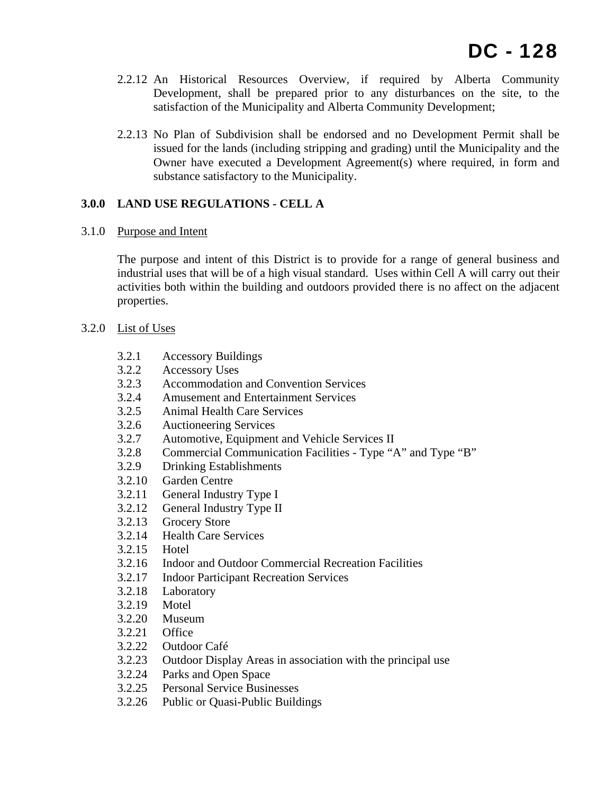- 2.2.12 An Historical Resources Overview, if required by Alberta Community Development, shall be prepared prior to any disturbances on the site, to the satisfaction of the Municipality and Alberta Community Development;
- 2.2.13 No Plan of Subdivision shall be endorsed and no Development Permit shall be issued for the lands (including stripping and grading) until the Municipality and the Owner have executed a Development Agreement(s) where required, in form and substance satisfactory to the Municipality.

## **3.0.0 LAND USE REGULATIONS - CELL A**

## 3.1.0 Purpose and Intent

The purpose and intent of this District is to provide for a range of general business and industrial uses that will be of a high visual standard. Uses within Cell A will carry out their activities both within the building and outdoors provided there is no affect on the adjacent properties.

## 3.2.0 List of Uses

- 3.2.1 Accessory Buildings
- 3.2.2 Accessory Uses
- 3.2.3 Accommodation and Convention Services
- 3.2.4 Amusement and Entertainment Services
- 3.2.5 Animal Health Care Services
- 3.2.6 Auctioneering Services
- 3.2.7 Automotive, Equipment and Vehicle Services II
- 3.2.8 Commercial Communication Facilities Type "A" and Type "B"
- 3.2.9 Drinking Establishments
- 3.2.10 Garden Centre
- 3.2.11 General Industry Type I
- 3.2.12 General Industry Type II
- 3.2.13 Grocery Store
- 3.2.14 Health Care Services
- 3.2.15 Hotel
- 3.2.16 Indoor and Outdoor Commercial Recreation Facilities
- 3.2.17 Indoor Participant Recreation Services
- 3.2.18 Laboratory
- 3.2.19 Motel
- 3.2.20 Museum
- 3.2.21 Office
- 3.2.22 Outdoor Café
- 3.2.23 Outdoor Display Areas in association with the principal use
- 3.2.24 Parks and Open Space
- 3.2.25 Personal Service Businesses
- 3.2.26 Public or Quasi-Public Buildings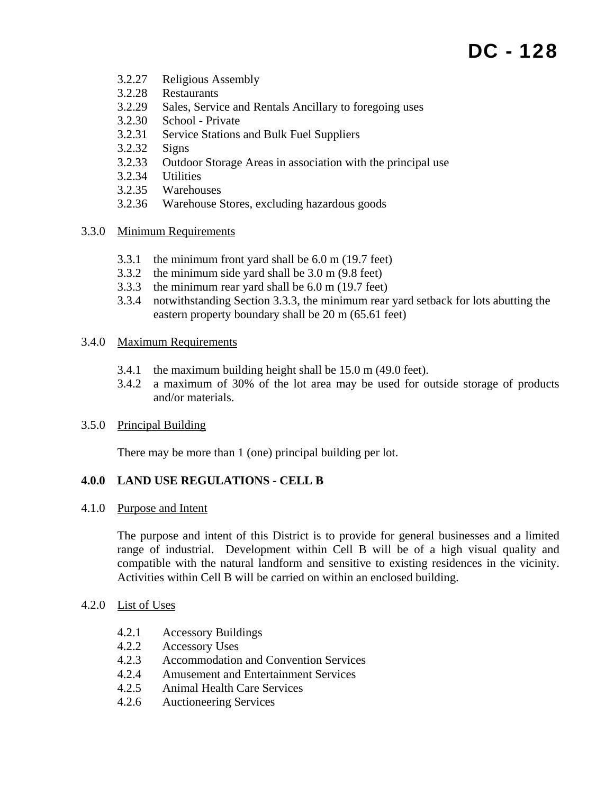- 3.2.27 Religious Assembly
- 3.2.28 Restaurants
- 3.2.29 Sales, Service and Rentals Ancillary to foregoing uses
- 3.2.30 School Private
- 3.2.31 Service Stations and Bulk Fuel Suppliers
- 3.2.32 Signs
- 3.2.33 Outdoor Storage Areas in association with the principal use
- 3.2.34 Utilities
- 3.2.35 Warehouses
- 3.2.36 Warehouse Stores, excluding hazardous goods

#### 3.3.0 Minimum Requirements

- 3.3.1 the minimum front yard shall be 6.0 m (19.7 feet)
- 3.3.2 the minimum side yard shall be 3.0 m (9.8 feet)
- 3.3.3 the minimum rear yard shall be 6.0 m (19.7 feet)
- 3.3.4 notwithstanding Section 3.3.3, the minimum rear yard setback for lots abutting the eastern property boundary shall be 20 m (65.61 feet)

#### 3.4.0 Maximum Requirements

- 3.4.1 the maximum building height shall be 15.0 m (49.0 feet).
- 3.4.2 a maximum of 30% of the lot area may be used for outside storage of products and/or materials.

### 3.5.0 Principal Building

There may be more than 1 (one) principal building per lot.

### **4.0.0 LAND USE REGULATIONS - CELL B**

#### 4.1.0 Purpose and Intent

The purpose and intent of this District is to provide for general businesses and a limited range of industrial. Development within Cell B will be of a high visual quality and compatible with the natural landform and sensitive to existing residences in the vicinity. Activities within Cell B will be carried on within an enclosed building.

### 4.2.0 List of Uses

- 4.2.1 Accessory Buildings
- 4.2.2 Accessory Uses
- 4.2.3 Accommodation and Convention Services
- 4.2.4 Amusement and Entertainment Services
- 4.2.5 Animal Health Care Services
- 4.2.6 Auctioneering Services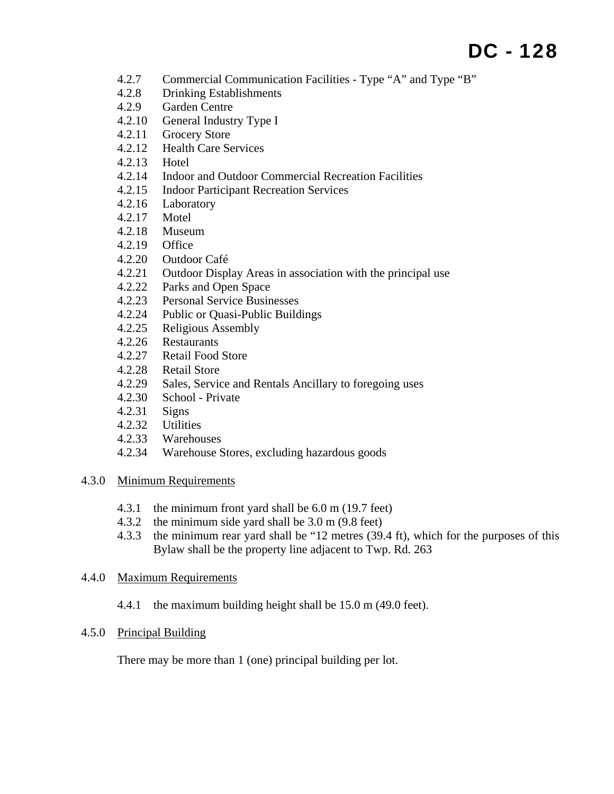- 4.2.7 Commercial Communication Facilities Type "A" and Type "B"
- 4.2.8 Drinking Establishments
- 4.2.9 Garden Centre
- 4.2.10 General Industry Type I
- 4.2.11 Grocery Store
- 4.2.12 Health Care Services
- 4.2.13 Hotel
- 4.2.14 Indoor and Outdoor Commercial Recreation Facilities
- 4.2.15 Indoor Participant Recreation Services
- 4.2.16 Laboratory
- 4.2.17 Motel
- 4.2.18 Museum
- 4.2.19 Office
- 4.2.20 Outdoor Café
- 4.2.21 Outdoor Display Areas in association with the principal use
- 4.2.22 Parks and Open Space
- 4.2.23 Personal Service Businesses
- 4.2.24 Public or Quasi-Public Buildings
- 4.2.25 Religious Assembly
- 4.2.26 Restaurants
- 4.2.27 Retail Food Store
- 4.2.28 Retail Store
- 4.2.29 Sales, Service and Rentals Ancillary to foregoing uses
- 4.2.30 School Private
- 4.2.31 Signs
- 4.2.32 Utilities
- 4.2.33 Warehouses
- 4.2.34 Warehouse Stores, excluding hazardous goods

### 4.3.0 Minimum Requirements

- 4.3.1 the minimum front yard shall be 6.0 m (19.7 feet)
- 4.3.2 the minimum side yard shall be 3.0 m (9.8 feet)
- 4.3.3 the minimum rear yard shall be "12 metres (39.4 ft), which for the purposes of this Bylaw shall be the property line adjacent to Twp. Rd. 263

### 4.4.0 Maximum Requirements

4.4.1 the maximum building height shall be 15.0 m (49.0 feet).

### 4.5.0 Principal Building

There may be more than 1 (one) principal building per lot.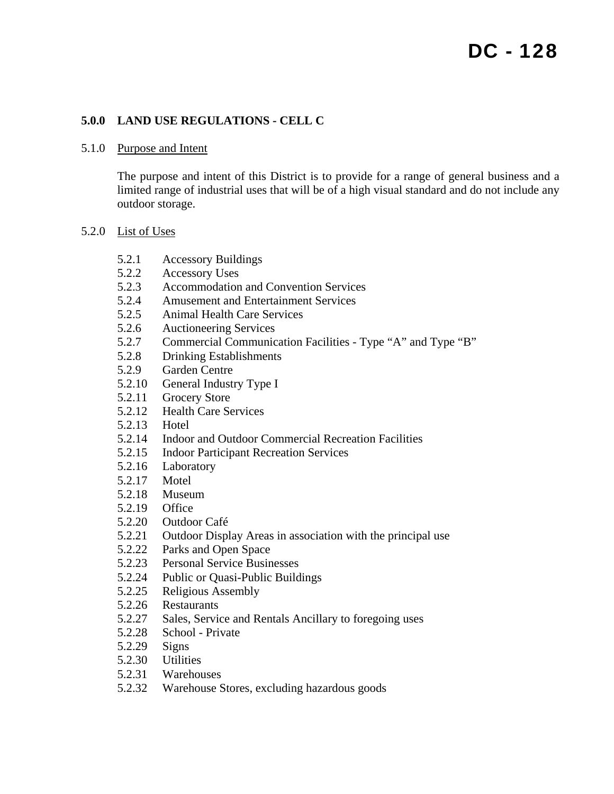## **5.0.0 LAND USE REGULATIONS - CELL C**

#### 5.1.0 Purpose and Intent

The purpose and intent of this District is to provide for a range of general business and a limited range of industrial uses that will be of a high visual standard and do not include any outdoor storage.

#### 5.2.0 List of Uses

- 5.2.1 Accessory Buildings
- 5.2.2 Accessory Uses
- 5.2.3 Accommodation and Convention Services
- 5.2.4 Amusement and Entertainment Services
- 5.2.5 Animal Health Care Services
- 5.2.6 Auctioneering Services
- 5.2.7 Commercial Communication Facilities Type "A" and Type "B"
- 5.2.8 Drinking Establishments
- 5.2.9 Garden Centre
- 5.2.10 General Industry Type I
- 5.2.11 Grocery Store
- 5.2.12 Health Care Services
- 5.2.13 Hotel
- 5.2.14 Indoor and Outdoor Commercial Recreation Facilities
- 5.2.15 Indoor Participant Recreation Services
- 5.2.16 Laboratory
- 5.2.17 Motel
- 5.2.18 Museum
- 5.2.19 Office
- 5.2.20 Outdoor Café
- 5.2.21 Outdoor Display Areas in association with the principal use
- 5.2.22 Parks and Open Space
- 5.2.23 Personal Service Businesses
- 5.2.24 Public or Quasi-Public Buildings
- 5.2.25 Religious Assembly
- 5.2.26 Restaurants
- 5.2.27 Sales, Service and Rentals Ancillary to foregoing uses
- 5.2.28 School Private
- 5.2.29 Signs
- 5.2.30 Utilities
- 5.2.31 Warehouses
- 5.2.32 Warehouse Stores, excluding hazardous goods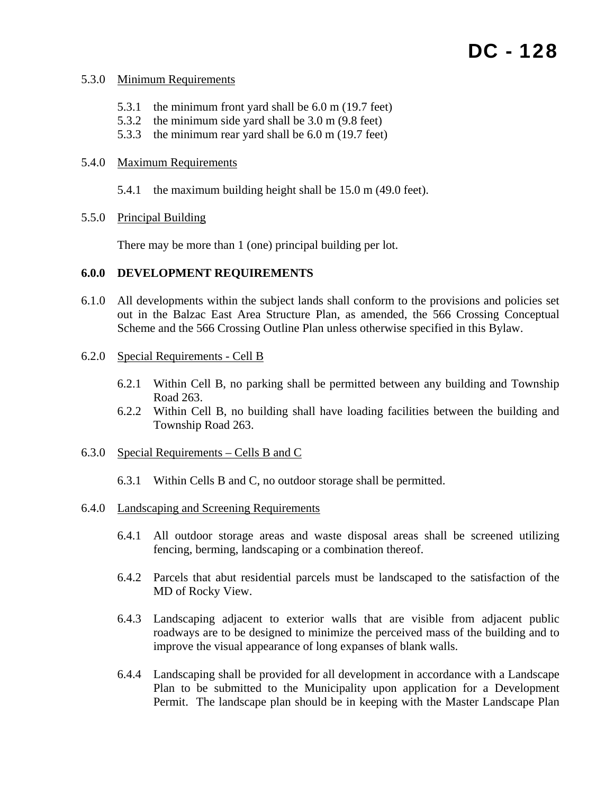#### 5.3.0 Minimum Requirements

- 5.3.1 the minimum front yard shall be 6.0 m (19.7 feet)
- 5.3.2 the minimum side yard shall be 3.0 m (9.8 feet)
- 5.3.3 the minimum rear yard shall be 6.0 m (19.7 feet)

#### 5.4.0 Maximum Requirements

- 5.4.1 the maximum building height shall be 15.0 m (49.0 feet).
- 5.5.0 Principal Building

There may be more than 1 (one) principal building per lot.

### **6.0.0 DEVELOPMENT REQUIREMENTS**

- 6.1.0 All developments within the subject lands shall conform to the provisions and policies set out in the Balzac East Area Structure Plan, as amended, the 566 Crossing Conceptual Scheme and the 566 Crossing Outline Plan unless otherwise specified in this Bylaw.
- 6.2.0 Special Requirements Cell B
	- 6.2.1 Within Cell B, no parking shall be permitted between any building and Township Road 263.
	- 6.2.2 Within Cell B, no building shall have loading facilities between the building and Township Road 263.
- 6.3.0 Special Requirements Cells B and C
	- 6.3.1 Within Cells B and C, no outdoor storage shall be permitted.
- 6.4.0 Landscaping and Screening Requirements
	- 6.4.1 All outdoor storage areas and waste disposal areas shall be screened utilizing fencing, berming, landscaping or a combination thereof.
	- 6.4.2 Parcels that abut residential parcels must be landscaped to the satisfaction of the MD of Rocky View.
	- 6.4.3 Landscaping adjacent to exterior walls that are visible from adjacent public roadways are to be designed to minimize the perceived mass of the building and to improve the visual appearance of long expanses of blank walls.
	- 6.4.4 Landscaping shall be provided for all development in accordance with a Landscape Plan to be submitted to the Municipality upon application for a Development Permit. The landscape plan should be in keeping with the Master Landscape Plan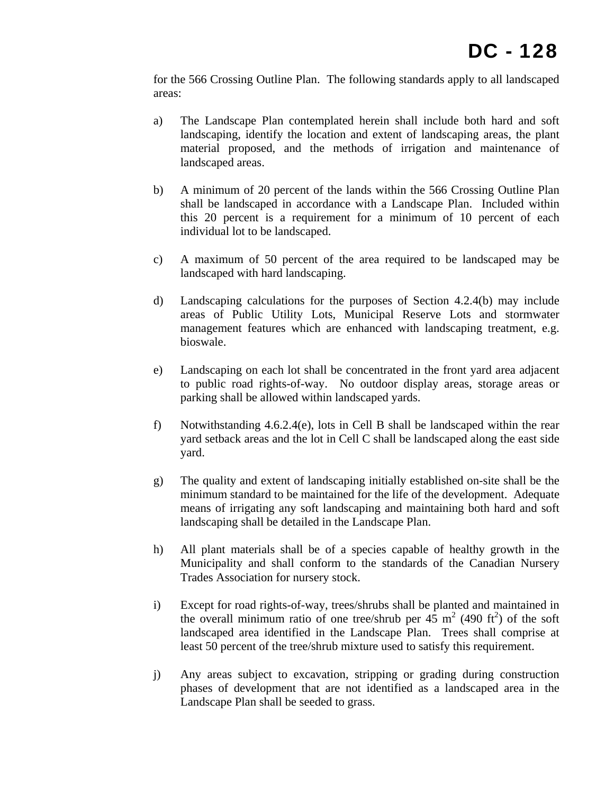for the 566 Crossing Outline Plan. The following standards apply to all landscaped areas:

- a) The Landscape Plan contemplated herein shall include both hard and soft landscaping, identify the location and extent of landscaping areas, the plant material proposed, and the methods of irrigation and maintenance of landscaped areas.
- b) A minimum of 20 percent of the lands within the 566 Crossing Outline Plan shall be landscaped in accordance with a Landscape Plan. Included within this 20 percent is a requirement for a minimum of 10 percent of each individual lot to be landscaped.
- c) A maximum of 50 percent of the area required to be landscaped may be landscaped with hard landscaping.
- d) Landscaping calculations for the purposes of Section 4.2.4(b) may include areas of Public Utility Lots, Municipal Reserve Lots and stormwater management features which are enhanced with landscaping treatment, e.g. bioswale.
- e) Landscaping on each lot shall be concentrated in the front yard area adjacent to public road rights-of-way. No outdoor display areas, storage areas or parking shall be allowed within landscaped yards.
- f) Notwithstanding 4.6.2.4(e), lots in Cell B shall be landscaped within the rear yard setback areas and the lot in Cell C shall be landscaped along the east side yard.
- g) The quality and extent of landscaping initially established on-site shall be the minimum standard to be maintained for the life of the development. Adequate means of irrigating any soft landscaping and maintaining both hard and soft landscaping shall be detailed in the Landscape Plan.
- h) All plant materials shall be of a species capable of healthy growth in the Municipality and shall conform to the standards of the Canadian Nursery Trades Association for nursery stock.
- i) Except for road rights-of-way, trees/shrubs shall be planted and maintained in the overall minimum ratio of one tree/shrub per  $45 \text{ m}^2$  (490 ft<sup>2</sup>) of the soft landscaped area identified in the Landscape Plan. Trees shall comprise at least 50 percent of the tree/shrub mixture used to satisfy this requirement.
- j) Any areas subject to excavation, stripping or grading during construction phases of development that are not identified as a landscaped area in the Landscape Plan shall be seeded to grass.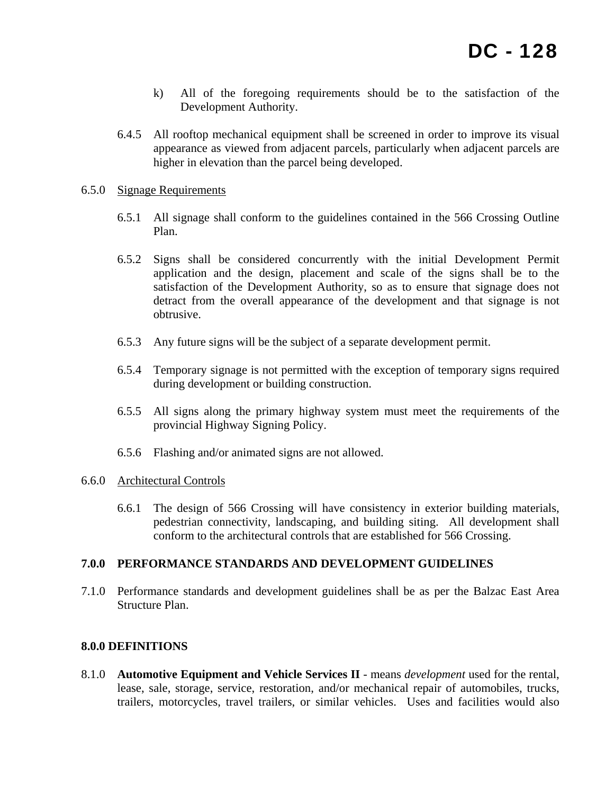- k) All of the foregoing requirements should be to the satisfaction of the Development Authority.
- 6.4.5 All rooftop mechanical equipment shall be screened in order to improve its visual appearance as viewed from adjacent parcels, particularly when adjacent parcels are higher in elevation than the parcel being developed.

#### 6.5.0 Signage Requirements

- 6.5.1 All signage shall conform to the guidelines contained in the 566 Crossing Outline Plan.
- 6.5.2 Signs shall be considered concurrently with the initial Development Permit application and the design, placement and scale of the signs shall be to the satisfaction of the Development Authority, so as to ensure that signage does not detract from the overall appearance of the development and that signage is not obtrusive.
- 6.5.3 Any future signs will be the subject of a separate development permit.
- 6.5.4 Temporary signage is not permitted with the exception of temporary signs required during development or building construction.
- 6.5.5 All signs along the primary highway system must meet the requirements of the provincial Highway Signing Policy.
- 6.5.6 Flashing and/or animated signs are not allowed.

#### 6.6.0 Architectural Controls

6.6.1 The design of 566 Crossing will have consistency in exterior building materials, pedestrian connectivity, landscaping, and building siting. All development shall conform to the architectural controls that are established for 566 Crossing.

#### **7.0.0 PERFORMANCE STANDARDS AND DEVELOPMENT GUIDELINES**

7.1.0 Performance standards and development guidelines shall be as per the Balzac East Area Structure Plan.

#### **8.0.0 DEFINITIONS**

8.1.0 **Automotive Equipment and Vehicle Services II** - means *development* used for the rental, lease, sale, storage, service, restoration, and/or mechanical repair of automobiles, trucks, trailers, motorcycles, travel trailers, or similar vehicles. Uses and facilities would also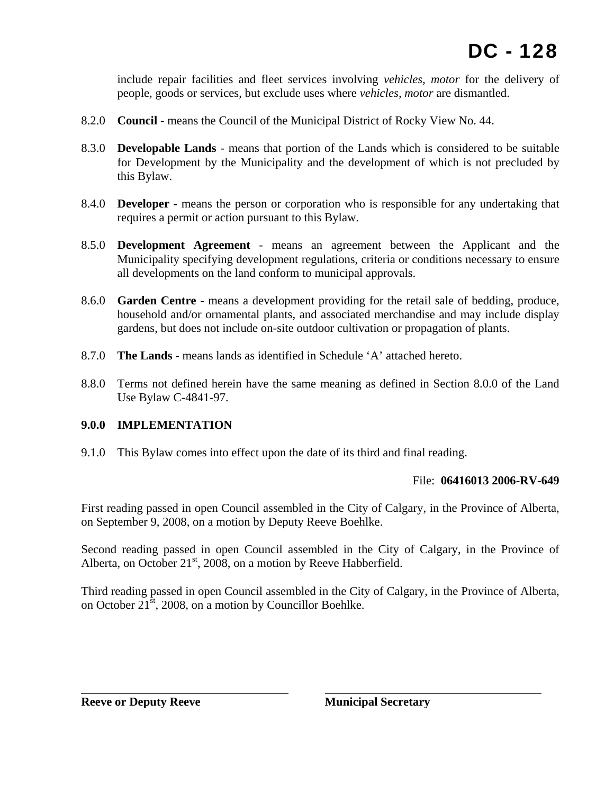include repair facilities and fleet services involving *vehicles, motor* for the delivery of people, goods or services, but exclude uses where *vehicles, motor* are dismantled.

- 8.2.0 **Council** means the Council of the Municipal District of Rocky View No. 44.
- 8.3.0 **Developable Lands** means that portion of the Lands which is considered to be suitable for Development by the Municipality and the development of which is not precluded by this Bylaw.
- 8.4.0 **Developer** means the person or corporation who is responsible for any undertaking that requires a permit or action pursuant to this Bylaw.
- 8.5.0 **Development Agreement** means an agreement between the Applicant and the Municipality specifying development regulations, criteria or conditions necessary to ensure all developments on the land conform to municipal approvals.
- 8.6.0 **Garden Centre** means a development providing for the retail sale of bedding, produce, household and/or ornamental plants, and associated merchandise and may include display gardens, but does not include on-site outdoor cultivation or propagation of plants.
- 8.7.0 **The Lands** means lands as identified in Schedule 'A' attached hereto.
- 8.8.0 Terms not defined herein have the same meaning as defined in Section 8.0.0 of the Land Use Bylaw C-4841-97.

### **9.0.0 IMPLEMENTATION**

9.1.0 This Bylaw comes into effect upon the date of its third and final reading.

### File: **06416013 2006-RV-649**

First reading passed in open Council assembled in the City of Calgary, in the Province of Alberta, on September 9, 2008, on a motion by Deputy Reeve Boehlke.

Second reading passed in open Council assembled in the City of Calgary, in the Province of Alberta, on October  $21<sup>st</sup>$ , 2008, on a motion by Reeve Habberfield.

Third reading passed in open Council assembled in the City of Calgary, in the Province of Alberta, on October 21st, 2008, on a motion by Councillor Boehlke.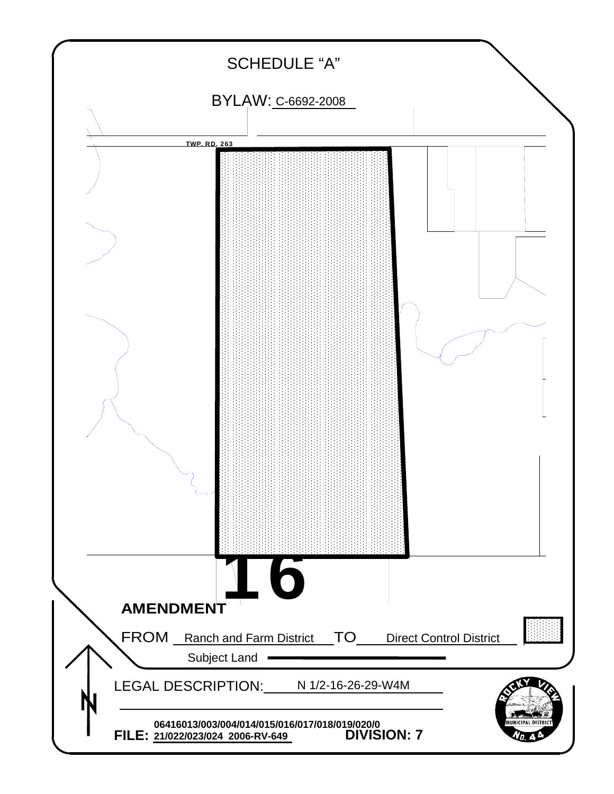